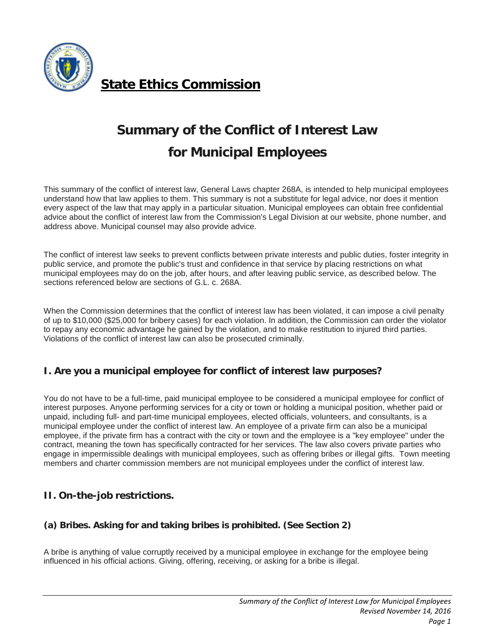

**[State Ethics Commission](http://www.mass.gov/ethics)**

# **Summary of the Conflict of Interest Law for Municipal Employees**

This summary of the conflict of interest law, General Laws chapter 268A, is intended to help municipal employees understand how that law applies to them. This summary is not a substitute for legal advice, nor does it mention every aspect of the law that may apply in a particular situation. Municipal employees can obtain free confidential advice about the conflict of interest law from the Commission's Legal Division at our website, phone number, and address above. Municipal counsel may also provide advice.

The conflict of interest law seeks to prevent conflicts between private interests and public duties, foster integrity in public service, and promote the public's trust and confidence in that service by placing restrictions on what municipal employees may do on the job, after hours, and after leaving public service, as described below. The sections referenced below are sections of G.L. c. 268A.

When the Commission determines that the conflict of interest law has been violated, it can impose a civil penalty of up to \$10,000 (\$25,000 for bribery cases) for each violation. In addition, the Commission can order the violator to repay any economic advantage he gained by the violation, and to make restitution to injured third parties. Violations of the conflict of interest law can also be prosecuted criminally.

# **I. Are you a municipal employee for conflict of interest law purposes?**

You do not have to be a full-time, paid municipal employee to be considered a municipal employee for conflict of interest purposes. Anyone performing services for a city or town or holding a municipal position, whether paid or unpaid, including full- and part-time municipal employees, elected officials, volunteers, and consultants, is a municipal employee under the conflict of interest law. An employee of a private firm can also be a municipal employee, if the private firm has a contract with the city or town and the employee is a "key employee" under the contract, meaning the town has specifically contracted for her services. The law also covers private parties who engage in impermissible dealings with municipal employees, such as offering bribes or illegal gifts. Town meeting members and charter commission members are not municipal employees under the conflict of interest law.

# **II. On-the-job restrictions.**

# **(a) Bribes. Asking for and taking bribes is prohibited. (See Section 2)**

A bribe is anything of value corruptly received by a municipal employee in exchange for the employee being influenced in his official actions. Giving, offering, receiving, or asking for a bribe is illegal.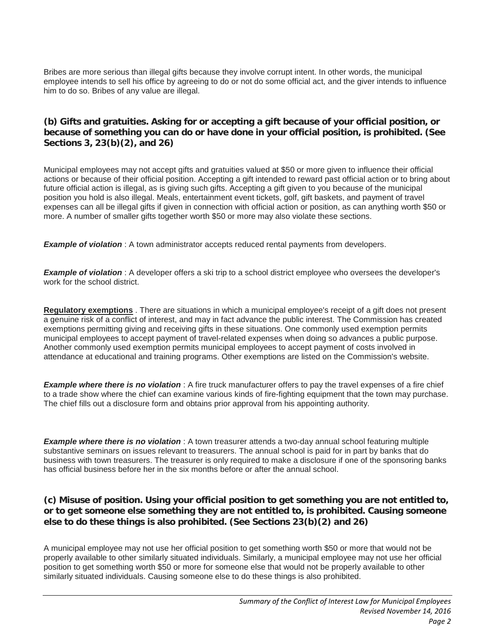Bribes are more serious than illegal gifts because they involve corrupt intent. In other words, the municipal employee intends to sell his office by agreeing to do or not do some official act, and the giver intends to influence him to do so. Bribes of any value are illegal.

### **(b) Gifts and gratuities. Asking for or accepting a gift because of your official position, or because of something you can do or have done in your official position, is prohibited. (See Sections 3, 23(b)(2), and 26)**

Municipal employees may not accept gifts and gratuities valued at \$50 or more given to influence their official actions or because of their official position. Accepting a gift intended to reward past official action or to bring about future official action is illegal, as is giving such gifts. Accepting a gift given to you because of the municipal position you hold is also illegal. Meals, entertainment event tickets, golf, gift baskets, and payment of travel expenses can all be illegal gifts if given in connection with official action or position, as can anything worth \$50 or more. A number of smaller gifts together worth \$50 or more may also violate these sections.

**Example of violation**: A town administrator accepts reduced rental payments from developers.

*Example of violation* : A developer offers a ski trip to a school district employee who oversees the developer's work for the school district.

**Regulatory exemptions** . There are situations in which a municipal employee's receipt of a gift does not present a genuine risk of a conflict of interest, and may in fact advance the public interest. The Commission has created exemptions permitting giving and receiving gifts in these situations. One commonly used exemption permits municipal employees to accept payment of travel-related expenses when doing so advances a public purpose. Another commonly used exemption permits municipal employees to accept payment of costs involved in attendance at educational and training programs. Other exemptions are listed on the Commission's website.

*Example where there is no violation* : A fire truck manufacturer offers to pay the travel expenses of a fire chief to a trade show where the chief can examine various kinds of fire-fighting equipment that the town may purchase. The chief fills out a disclosure form and obtains prior approval from his appointing authority.

*Example where there is no violation* : A town treasurer attends a two-day annual school featuring multiple substantive seminars on issues relevant to treasurers. The annual school is paid for in part by banks that do business with town treasurers. The treasurer is only required to make a disclosure if one of the sponsoring banks has official business before her in the six months before or after the annual school.

#### **(c) Misuse of position. Using your official position to get something you are not entitled to, or to get someone else something they are not entitled to, is prohibited. Causing someone else to do these things is also prohibited. (See Sections 23(b)(2) and 26)**

A municipal employee may not use her official position to get something worth \$50 or more that would not be properly available to other similarly situated individuals. Similarly, a municipal employee may not use her official position to get something worth \$50 or more for someone else that would not be properly available to other similarly situated individuals. Causing someone else to do these things is also prohibited.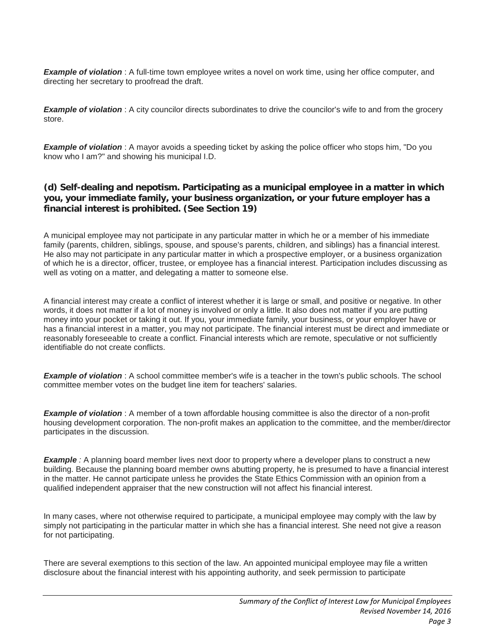*Example of violation* : A full-time town employee writes a novel on work time, using her office computer, and directing her secretary to proofread the draft.

**Example of violation**: A city councilor directs subordinates to drive the councilor's wife to and from the grocery store.

*Example of violation* : A mayor avoids a speeding ticket by asking the police officer who stops him, "Do you know who I am?" and showing his municipal I.D.

# **(d) Self-dealing and nepotism. Participating as a municipal employee in a matter in which you, your immediate family, your business organization, or your future employer has a financial interest is prohibited. (See Section 19)**

A municipal employee may not participate in any particular matter in which he or a member of his immediate family (parents, children, siblings, spouse, and spouse's parents, children, and siblings) has a financial interest. He also may not participate in any particular matter in which a prospective employer, or a business organization of which he is a director, officer, trustee, or employee has a financial interest. Participation includes discussing as well as voting on a matter, and delegating a matter to someone else.

A financial interest may create a conflict of interest whether it is large or small, and positive or negative. In other words, it does not matter if a lot of money is involved or only a little. It also does not matter if you are putting money into your pocket or taking it out. If you, your immediate family, your business, or your employer have or has a financial interest in a matter, you may not participate. The financial interest must be direct and immediate or reasonably foreseeable to create a conflict. Financial interests which are remote, speculative or not sufficiently identifiable do not create conflicts.

*Example of violation* : A school committee member's wife is a teacher in the town's public schools. The school committee member votes on the budget line item for teachers' salaries.

*Example of violation* : A member of a town affordable housing committee is also the director of a non-profit housing development corporation. The non-profit makes an application to the committee, and the member/director participates in the discussion.

*Example* : A planning board member lives next door to property where a developer plans to construct a new building. Because the planning board member owns abutting property, he is presumed to have a financial interest in the matter. He cannot participate unless he provides the State Ethics Commission with an opinion from a qualified independent appraiser that the new construction will not affect his financial interest.

In many cases, where not otherwise required to participate, a municipal employee may comply with the law by simply not participating in the particular matter in which she has a financial interest. She need not give a reason for not participating.

There are several exemptions to this section of the law. An appointed municipal employee may file a written disclosure about the financial interest with his appointing authority, and seek permission to participate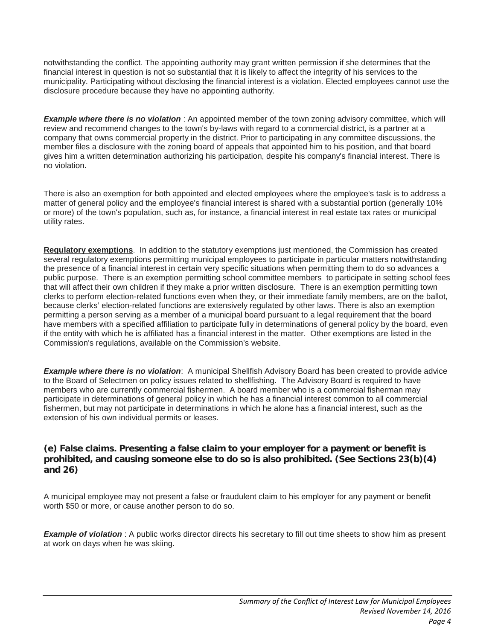notwithstanding the conflict. The appointing authority may grant written permission if she determines that the financial interest in question is not so substantial that it is likely to affect the integrity of his services to the municipality. Participating without disclosing the financial interest is a violation. Elected employees cannot use the disclosure procedure because they have no appointing authority.

*Example where there is no violation* : An appointed member of the town zoning advisory committee, which will review and recommend changes to the town's by-laws with regard to a commercial district, is a partner at a company that owns commercial property in the district. Prior to participating in any committee discussions, the member files a disclosure with the zoning board of appeals that appointed him to his position, and that board gives him a written determination authorizing his participation, despite his company's financial interest. There is no violation.

There is also an exemption for both appointed and elected employees where the employee's task is to address a matter of general policy and the employee's financial interest is shared with a substantial portion (generally 10% or more) of the town's population, such as, for instance, a financial interest in real estate tax rates or municipal utility rates.

**Regulatory exemptions**. In addition to the statutory exemptions just mentioned, the Commission has created several regulatory exemptions permitting municipal employees to participate in particular matters notwithstanding the presence of a financial interest in certain very specific situations when permitting them to do so advances a public purpose. There is an exemption permitting school committee members to participate in setting school fees that will affect their own children if they make a prior written disclosure. There is an exemption permitting town clerks to perform election-related functions even when they, or their immediate family members, are on the ballot, because clerks' election-related functions are extensively regulated by other laws. There is also an exemption permitting a person serving as a member of a municipal board pursuant to a legal requirement that the board have members with a specified affiliation to participate fully in determinations of general policy by the board, even if the entity with which he is affiliated has a financial interest in the matter. Other exemptions are listed in the Commission's regulations, available on the Commission's website.

*Example where there is no violation*: A municipal Shellfish Advisory Board has been created to provide advice to the Board of Selectmen on policy issues related to shellfishing. The Advisory Board is required to have members who are currently commercial fishermen. A board member who is a commercial fisherman may participate in determinations of general policy in which he has a financial interest common to all commercial fishermen, but may not participate in determinations in which he alone has a financial interest, such as the extension of his own individual permits or leases.

## **(e) False claims. Presenting a false claim to your employer for a payment or benefit is prohibited, and causing someone else to do so is also prohibited. (See Sections 23(b)(4) and 26)**

A municipal employee may not present a false or fraudulent claim to his employer for any payment or benefit worth \$50 or more, or cause another person to do so.

*Example of violation* : A public works director directs his secretary to fill out time sheets to show him as present at work on days when he was skiing.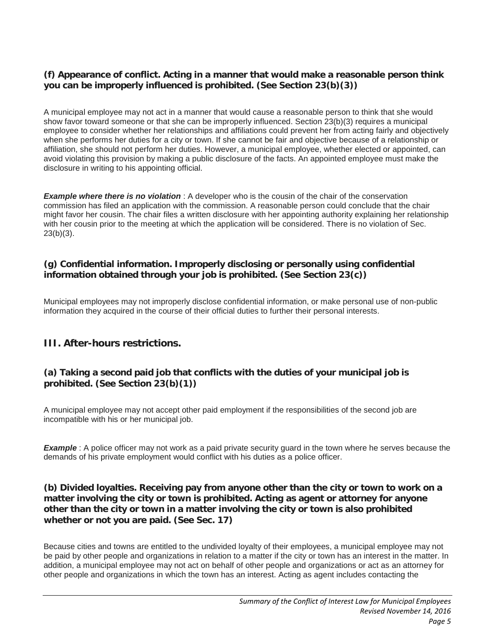# **(f) Appearance of conflict. Acting in a manner that would make a reasonable person think you can be improperly influenced is prohibited. (See Section 23(b)(3))**

A municipal employee may not act in a manner that would cause a reasonable person to think that she would show favor toward someone or that she can be improperly influenced. Section 23(b)(3) requires a municipal employee to consider whether her relationships and affiliations could prevent her from acting fairly and objectively when she performs her duties for a city or town. If she cannot be fair and objective because of a relationship or affiliation, she should not perform her duties. However, a municipal employee, whether elected or appointed, can avoid violating this provision by making a public disclosure of the facts. An appointed employee must make the disclosure in writing to his appointing official.

**Example where there is no violation**: A developer who is the cousin of the chair of the conservation commission has filed an application with the commission. A reasonable person could conclude that the chair might favor her cousin. The chair files a written disclosure with her appointing authority explaining her relationship with her cousin prior to the meeting at which the application will be considered. There is no violation of Sec. 23(b)(3).

# **(g) Confidential information. Improperly disclosing or personally using confidential information obtained through your job is prohibited. (See Section 23(c))**

Municipal employees may not improperly disclose confidential information, or make personal use of non-public information they acquired in the course of their official duties to further their personal interests.

# **III. After-hours restrictions.**

## **(a) Taking a second paid job that conflicts with the duties of your municipal job is prohibited. (See Section 23(b)(1))**

A municipal employee may not accept other paid employment if the responsibilities of the second job are incompatible with his or her municipal job.

*Example*: A police officer may not work as a paid private security guard in the town where he serves because the demands of his private employment would conflict with his duties as a police officer.

#### **(b) Divided loyalties. Receiving pay from anyone other than the city or town to work on a matter involving the city or town is prohibited. Acting as agent or attorney for anyone other than the city or town in a matter involving the city or town is also prohibited whether or not you are paid. (See Sec. 17)**

Because cities and towns are entitled to the undivided loyalty of their employees, a municipal employee may not be paid by other people and organizations in relation to a matter if the city or town has an interest in the matter. In addition, a municipal employee may not act on behalf of other people and organizations or act as an attorney for other people and organizations in which the town has an interest. Acting as agent includes contacting the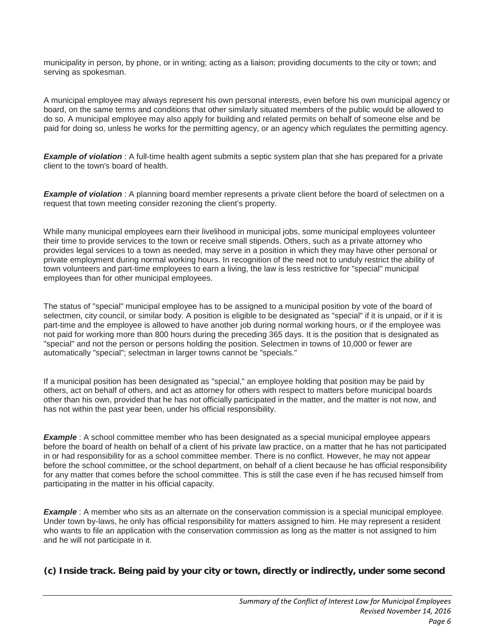municipality in person, by phone, or in writing; acting as a liaison; providing documents to the city or town; and serving as spokesman.

A municipal employee may always represent his own personal interests, even before his own municipal agency or board, on the same terms and conditions that other similarly situated members of the public would be allowed to do so. A municipal employee may also apply for building and related permits on behalf of someone else and be paid for doing so, unless he works for the permitting agency, or an agency which regulates the permitting agency.

*Example of violation*: A full-time health agent submits a septic system plan that she has prepared for a private client to the town's board of health.

*Example of violation*: A planning board member represents a private client before the board of selectmen on a request that town meeting consider rezoning the client's property.

While many municipal employees earn their livelihood in municipal jobs, some municipal employees volunteer their time to provide services to the town or receive small stipends. Others, such as a private attorney who provides legal services to a town as needed, may serve in a position in which they may have other personal or private employment during normal working hours. In recognition of the need not to unduly restrict the ability of town volunteers and part-time employees to earn a living, the law is less restrictive for "special" municipal employees than for other municipal employees.

The status of "special" municipal employee has to be assigned to a municipal position by vote of the board of selectmen, city council, or similar body. A position is eligible to be designated as "special" if it is unpaid, or if it is part-time and the employee is allowed to have another job during normal working hours, or if the employee was not paid for working more than 800 hours during the preceding 365 days. It is the position that is designated as "special" and not the person or persons holding the position. Selectmen in towns of 10,000 or fewer are automatically "special"; selectman in larger towns cannot be "specials."

If a municipal position has been designated as "special," an employee holding that position may be paid by others, act on behalf of others, and act as attorney for others with respect to matters before municipal boards other than his own, provided that he has not officially participated in the matter, and the matter is not now, and has not within the past year been, under his official responsibility.

*Example*: A school committee member who has been designated as a special municipal employee appears before the board of health on behalf of a client of his private law practice, on a matter that he has not participated in or had responsibility for as a school committee member. There is no conflict. However, he may not appear before the school committee, or the school department, on behalf of a client because he has official responsibility for any matter that comes before the school committee. This is still the case even if he has recused himself from participating in the matter in his official capacity.

*Example*: A member who sits as an alternate on the conservation commission is a special municipal employee. Under town by-laws, he only has official responsibility for matters assigned to him. He may represent a resident who wants to file an application with the conservation commission as long as the matter is not assigned to him and he will not participate in it.

**(c) Inside track. Being paid by your city or town, directly or indirectly, under some second**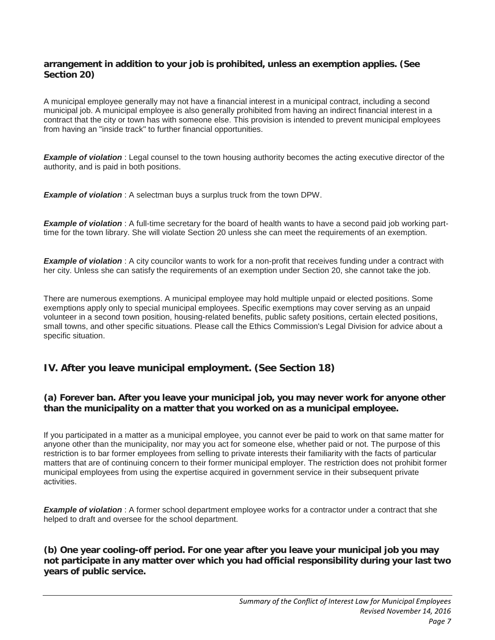### **arrangement in addition to your job is prohibited, unless an exemption applies. (See Section 20)**

A municipal employee generally may not have a financial interest in a municipal contract, including a second municipal job. A municipal employee is also generally prohibited from having an indirect financial interest in a contract that the city or town has with someone else. This provision is intended to prevent municipal employees from having an "inside track" to further financial opportunities.

*Example of violation* : Legal counsel to the town housing authority becomes the acting executive director of the authority, and is paid in both positions.

*Example of violation* : A selectman buys a surplus truck from the town DPW.

*Example of violation* : A full-time secretary for the board of health wants to have a second paid job working parttime for the town library. She will violate Section 20 unless she can meet the requirements of an exemption.

*Example of violation* : A city councilor wants to work for a non-profit that receives funding under a contract with her city. Unless she can satisfy the requirements of an exemption under Section 20, she cannot take the job.

There are numerous exemptions. A municipal employee may hold multiple unpaid or elected positions. Some exemptions apply only to special municipal employees. Specific exemptions may cover serving as an unpaid volunteer in a second town position, housing-related benefits, public safety positions, certain elected positions, small towns, and other specific situations. Please call the Ethics Commission's Legal Division for advice about a specific situation.

# **IV. After you leave municipal employment. (See Section 18)**

## **(a) Forever ban. After you leave your municipal job, you may never work for anyone other than the municipality on a matter that you worked on as a municipal employee.**

If you participated in a matter as a municipal employee, you cannot ever be paid to work on that same matter for anyone other than the municipality, nor may you act for someone else, whether paid or not. The purpose of this restriction is to bar former employees from selling to private interests their familiarity with the facts of particular matters that are of continuing concern to their former municipal employer. The restriction does not prohibit former municipal employees from using the expertise acquired in government service in their subsequent private activities.

**Example of violation**: A former school department employee works for a contractor under a contract that she helped to draft and oversee for the school department.

**(b) One year cooling-off period. For one year after you leave your municipal job you may not participate in any matter over which you had official responsibility during your last two years of public service.**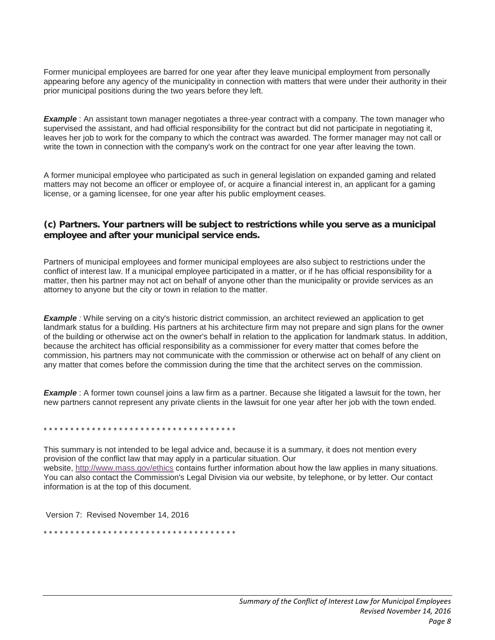Former municipal employees are barred for one year after they leave municipal employment from personally appearing before any agency of the municipality in connection with matters that were under their authority in their prior municipal positions during the two years before they left.

**Example**: An assistant town manager negotiates a three-year contract with a company. The town manager who supervised the assistant, and had official responsibility for the contract but did not participate in negotiating it, leaves her job to work for the company to which the contract was awarded. The former manager may not call or write the town in connection with the company's work on the contract for one year after leaving the town.

A former municipal employee who participated as such in general legislation on expanded gaming and related matters may not become an officer or employee of, or acquire a financial interest in, an applicant for a gaming license, or a gaming licensee, for one year after his public employment ceases.

#### **(c) Partners. Your partners will be subject to restrictions while you serve as a municipal employee and after your municipal service ends.**

Partners of municipal employees and former municipal employees are also subject to restrictions under the conflict of interest law. If a municipal employee participated in a matter, or if he has official responsibility for a matter, then his partner may not act on behalf of anyone other than the municipality or provide services as an attorney to anyone but the city or town in relation to the matter.

*Example :* While serving on a city's historic district commission, an architect reviewed an application to get landmark status for a building. His partners at his architecture firm may not prepare and sign plans for the owner of the building or otherwise act on the owner's behalf in relation to the application for landmark status. In addition, because the architect has official responsibility as a commissioner for every matter that comes before the commission, his partners may not communicate with the commission or otherwise act on behalf of any client on any matter that comes before the commission during the time that the architect serves on the commission.

*Example* : A former town counsel joins a law firm as a partner. Because she litigated a lawsuit for the town, her new partners cannot represent any private clients in the lawsuit for one year after her job with the town ended.

\* \* \* \* \* \* \* \* \* \* \* \* \* \* \* \* \* \* \* \* \* \* \* \* \* \* \* \* \* \* \* \* \* \* \* \*

This summary is not intended to be legal advice and, because it is a summary, it does not mention every provision of the conflict law that may apply in a particular situation. Our website, <http://www.mass.gov/ethics> contains further information about how the law applies in many situations. You can also contact the Commission's Legal Division via our website, by telephone, or by letter. Our contact information is at the top of this document.

Version 7: Revised November 14, 2016

\* \* \* \* \* \* \* \* \* \* \* \* \* \* \* \* \* \* \* \* \* \* \* \* \* \* \* \* \* \* \* \* \* \* \* \*